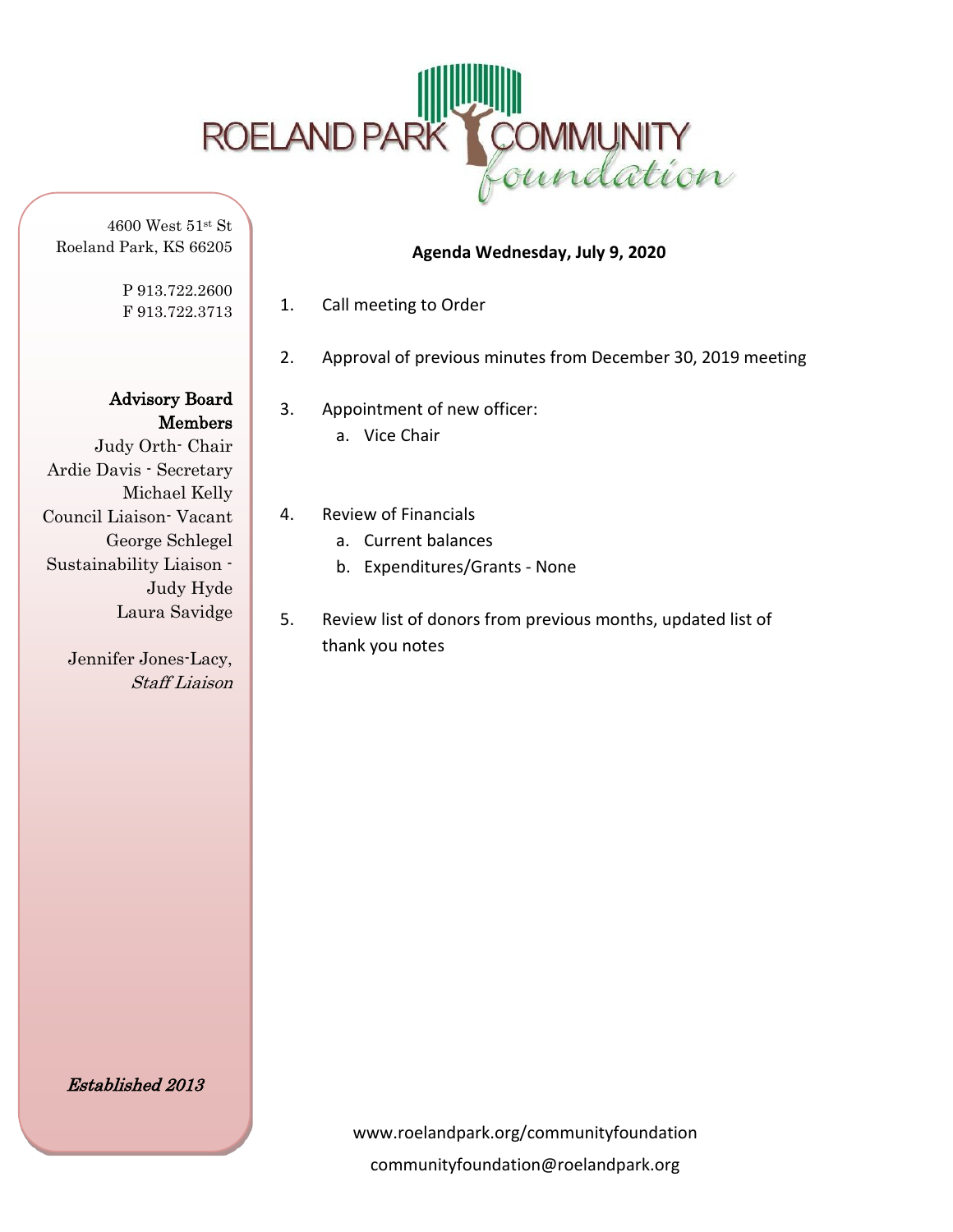

4600 West 51st St Roeland Park, KS 66205

> P 913.722.2600 F 913.722.3713

Advisory Board Members

Judy Orth- Chair Ardie Davis - Secretary Michael Kelly Council Liaison- Vacant George Schlegel Sustainability Liaison - Judy Hyde Laura Savidge

> Jennifer Jones-Lacy, Staff Liaison

1. Call meeting to Order

2. Approval of previous minutes from December 30, 2019 meeting

**Agenda Wednesday, July 9, 2020**

- 3. Appointment of new officer: a. Vice Chair
- 4. Review of Financials
	- a. Current balances
	- b. Expenditures/Grants None
- 5. Review list of donors from previous months, updated list of thank you notes

Established 2013

www.roelandpark.org/communityfoundation communityfoundation@roelandpark.org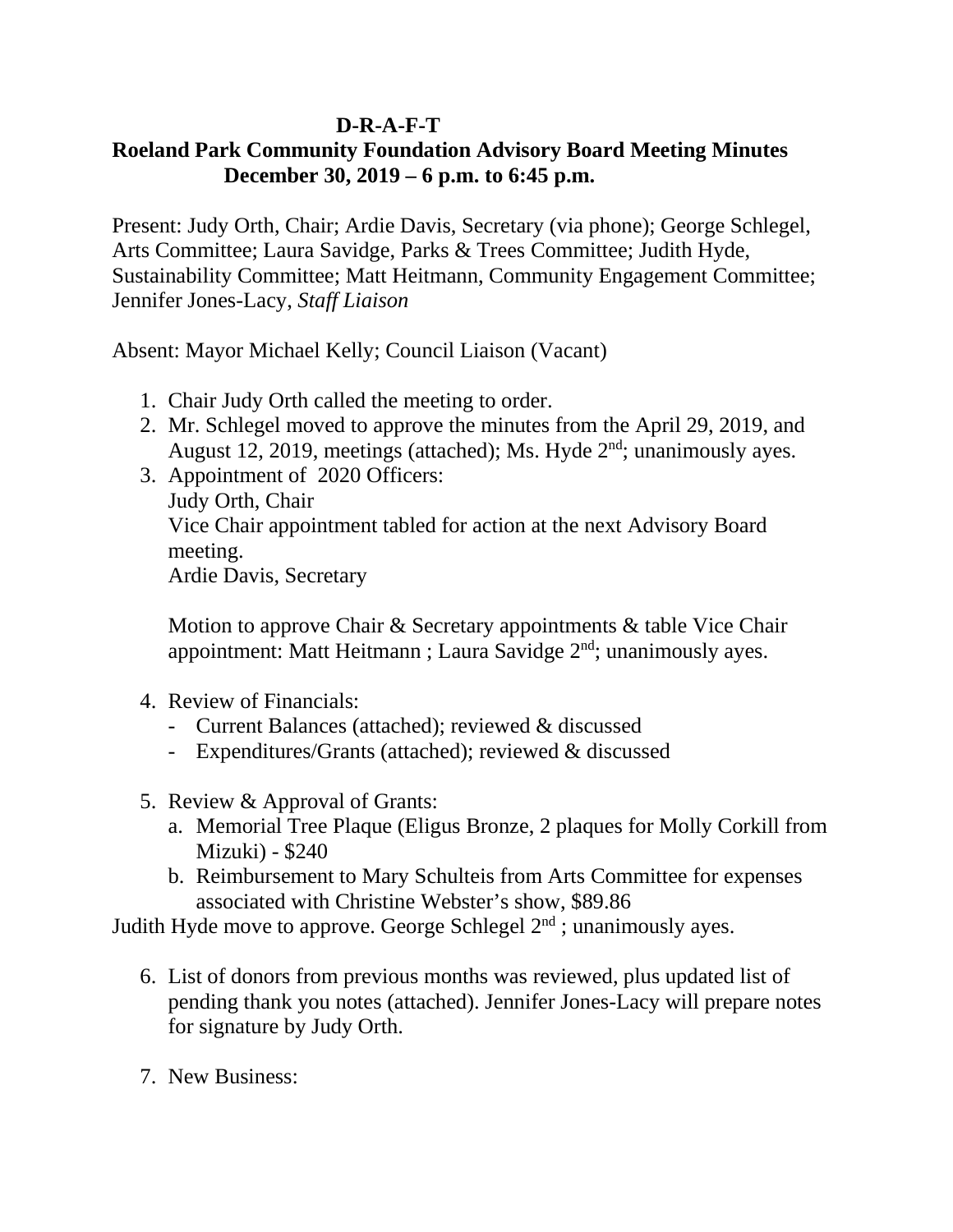## **D-R-A-F-T**

## **Roeland Park Community Foundation Advisory Board Meeting Minutes December 30, 2019 – 6 p.m. to 6:45 p.m.**

Present: Judy Orth, Chair; Ardie Davis, Secretary (via phone); George Schlegel, Arts Committee; Laura Savidge, Parks & Trees Committee; Judith Hyde, Sustainability Committee; Matt Heitmann, Community Engagement Committee; Jennifer Jones-Lacy, *Staff Liaison*

Absent: Mayor Michael Kelly; Council Liaison (Vacant)

- 1. Chair Judy Orth called the meeting to order.
- 2. Mr. Schlegel moved to approve the minutes from the April 29, 2019, and August 12, 2019, meetings (attached); Ms. Hyde  $2<sup>nd</sup>$ ; unanimously ayes.
- 3. Appointment of 2020 Officers: Judy Orth, Chair Vice Chair appointment tabled for action at the next Advisory Board meeting. Ardie Davis, Secretary

Motion to approve Chair & Secretary appointments & table Vice Chair appointment: Matt Heitmann ; Laura Savidge 2<sup>nd</sup>; unanimously ayes.

- 4. Review of Financials:
	- Current Balances (attached); reviewed & discussed
	- Expenditures/Grants (attached); reviewed & discussed
- 5. Review & Approval of Grants:
	- a. Memorial Tree Plaque (Eligus Bronze, 2 plaques for Molly Corkill from Mizuki) - \$240
	- b. Reimbursement to Mary Schulteis from Arts Committee for expenses associated with Christine Webster's show, \$89.86

Judith Hyde move to approve. George Schlegel  $2<sup>nd</sup>$ ; unanimously ayes.

- 6. List of donors from previous months was reviewed, plus updated list of pending thank you notes (attached). Jennifer Jones-Lacy will prepare notes for signature by Judy Orth.
- 7. New Business: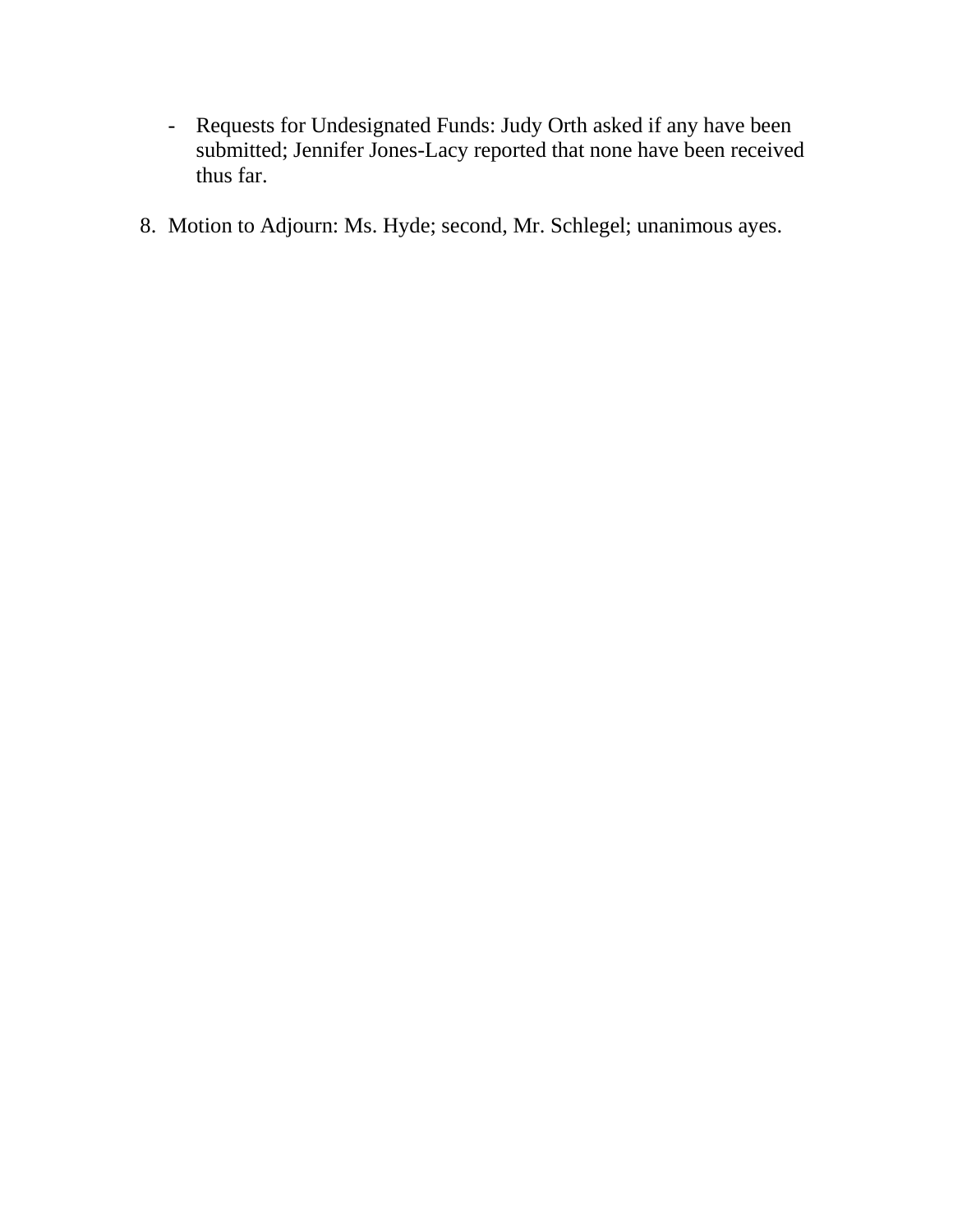- Requests for Undesignated Funds: Judy Orth asked if any have been submitted; Jennifer Jones-Lacy reported that none have been received thus far.
- 8. Motion to Adjourn: Ms. Hyde; second, Mr. Schlegel; unanimous ayes.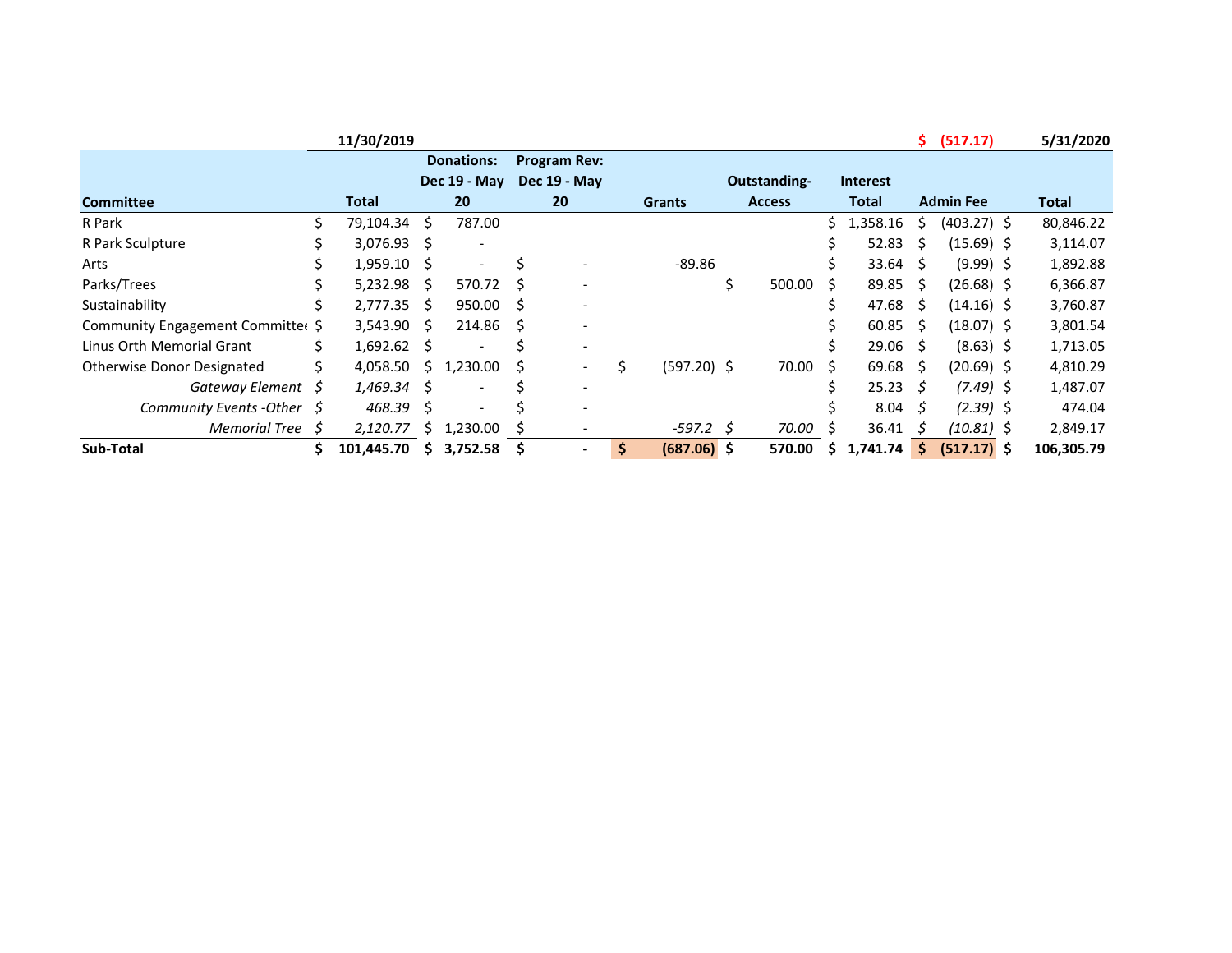|                                   |    | 11/30/2019 |     |                          |                     |                          |   |               |               |    |                 | S.   | (517.17)         | 5/31/2020    |
|-----------------------------------|----|------------|-----|--------------------------|---------------------|--------------------------|---|---------------|---------------|----|-----------------|------|------------------|--------------|
|                                   |    |            |     | <b>Donations:</b>        |                     | <b>Program Rev:</b>      |   |               |               |    |                 |      |                  |              |
|                                   |    |            |     | Dec 19 - May             |                     | Dec 19 - May             |   |               | Outstanding-  |    | <b>Interest</b> |      |                  |              |
| <b>Committee</b>                  |    | Total      |     | 20                       |                     | 20                       |   | <b>Grants</b> | <b>Access</b> |    | Total           |      | <b>Admin Fee</b> | <b>Total</b> |
| R Park                            |    | 79,104.34  | \$  | 787.00                   |                     |                          |   |               |               | Ś. | 1,358.16        | S    | $(403.27)$ \$    | 80,846.22    |
| R Park Sculpture                  |    | 3,076.93   | S.  |                          |                     |                          |   |               |               | s  | 52.83           | S.   | $(15.69)$ \$     | 3,114.07     |
| Arts                              |    | 1,959.10   | S   | $\overline{\phantom{m}}$ | S                   |                          |   | $-89.86$      |               |    | $33.64 \quad $$ |      | $(9.99)$ \$      | 1,892.88     |
| Parks/Trees                       |    | 5,232.98   | Ŝ.  | 570.72 \$                |                     |                          |   |               | \$<br>500.00  | S. | 89.85           | -S   | $(26.68)$ \$     | 6,366.87     |
| Sustainability                    | S  | 2,777.35   | Ŝ.  | $950.00$ \$              |                     |                          |   |               |               |    | 47.68           | - S  | $(14.16)$ \$     | 3,760.87     |
| Community Engagement Committer \$ |    | 3,543.90   | Ŝ.  | 214.86                   | $\ddot{\mathsf{s}}$ |                          |   |               |               |    | 60.85           | -S   | $(18.07)$ \$     | 3,801.54     |
| Linus Orth Memorial Grant         |    | 1,692.62   | S.  |                          |                     | $\overline{\phantom{a}}$ |   |               |               |    | $29.06 \quad $$ |      | $(8.63)$ \$      | 1,713.05     |
| <b>Otherwise Donor Designated</b> | Ś. | 4,058.50   | S.  | 1,230.00                 | S                   | $\overline{\phantom{a}}$ | Ś | $(597.20)$ \$ | 70.00         | S  | 69.68           | - \$ | $(20.69)$ \$     | 4,810.29     |
| Gateway Element                   | S  | 1,469.34   | S   |                          |                     | $\overline{\phantom{a}}$ |   |               |               |    | 25.23           | - 5  | $(7.49)$ \$      | 1,487.07     |
| Community Events - Other $\oint$  |    | 468.39     | \$. |                          |                     |                          |   |               |               |    | $8.04 \quad 5$  |      | $(2.39)$ \$      | 474.04       |
| <b>Memorial Tree</b>              | S  | 2,120.77   | S.  | 1,230.00                 | S                   |                          |   | $-597.2$ \$   | 70.00         | S  | 36.41           | S    | $(10.81)$ \$     | 2,849.17     |
| Sub-Total                         |    | 101,445.70 | S.  | 3,752.58                 |                     |                          | S | $(687.06)$ \$ | 570.00        | S  | 1,741.74        | \$.  | $(517.17)$ \$    | 106,305.79   |